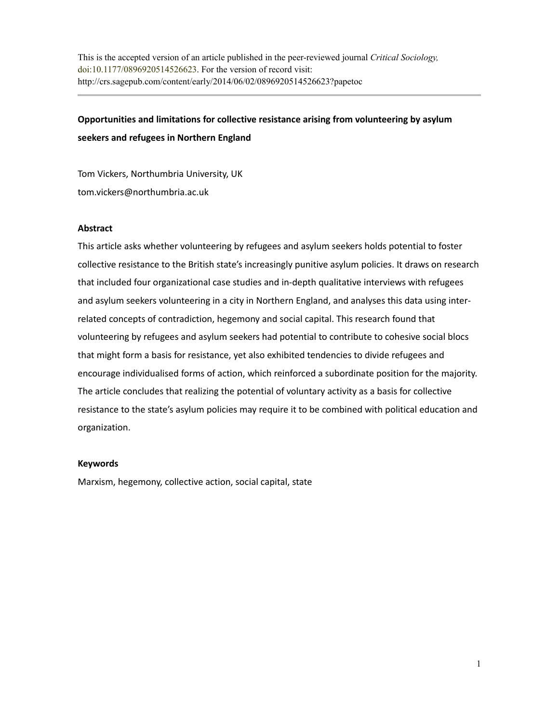# **Opportunities and limitations for collective resistance arising from volunteering by asylum seekers and refugees in Northern England**

Tom Vickers, Northumbria University, UK tom.vickers@northumbria.ac.uk

### **Abstract**

This article asks whether volunteering by refugees and asylum seekers holds potential to foster collective resistance to the British state's increasingly punitive asylum policies. It draws on research that included four organizational case studies and in-depth qualitative interviews with refugees and asylum seekers volunteering in a city in Northern England, and analyses this data using interrelated concepts of contradiction, hegemony and social capital. This research found that volunteering by refugees and asylum seekers had potential to contribute to cohesive social blocs that might form a basis for resistance, yet also exhibited tendencies to divide refugees and encourage individualised forms of action, which reinforced a subordinate position for the majority. The article concludes that realizing the potential of voluntary activity as a basis for collective resistance to the state's asylum policies may require it to be combined with political education and organization.

### **Keywords**

Marxism, hegemony, collective action, social capital, state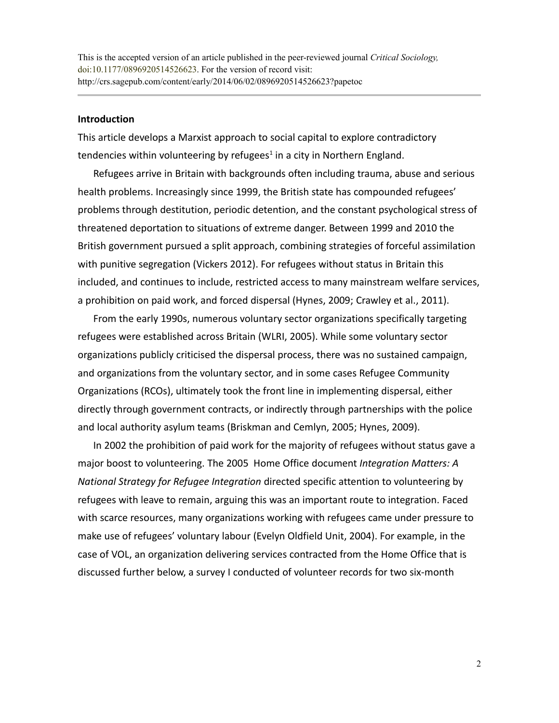#### **Introduction**

This article develops a Marxist approach to social capital to explore contradictory tendencies within volunteering by refugees<sup>1</sup> in a city in Northern England.

Refugees arrive in Britain with backgrounds often including trauma, abuse and serious health problems. Increasingly since 1999, the British state has compounded refugees' problems through destitution, periodic detention, and the constant psychological stress of threatened deportation to situations of extreme danger. Between 1999 and 2010 the British government pursued a split approach, combining strategies of forceful assimilation with punitive segregation (Vickers 2012). For refugees without status in Britain this included, and continues to include, restricted access to many mainstream welfare services, a prohibition on paid work, and forced dispersal (Hynes, 2009; [Crawley et al., 2011\)](#page-32-0).

From the early 1990s, numerous voluntary sector organizations specifically targeting refugees were established across Britain (WLRI, 2005). While some voluntary sector organizations publicly criticised the dispersal process, there was no sustained campaign, and organizations from the voluntary sector, and in some cases Refugee Community Organizations (RCOs), ultimately took the front line in implementing dispersal, either directly through government contracts, or indirectly through partnerships with the police and local authority asylum teams (Briskman and Cemlyn, 2005; Hynes, 2009).

In 2002 the prohibition of paid work for the majority of refugees without status gave a major boost to volunteering. The 2005 Home Office document *Integration Matters: A National Strategy for Refugee Integration* directed specific attention to volunteering by refugees with leave to remain, arguing this was an important route to integration. Faced with scarce resources, many organizations working with refugees came under pressure to make use of refugees' voluntary labour (Evelyn Oldfield Unit, 2004). For example, in the case of VOL, an organization delivering services contracted from the Home Office that is discussed further below, a survey I conducted of volunteer records for two six-month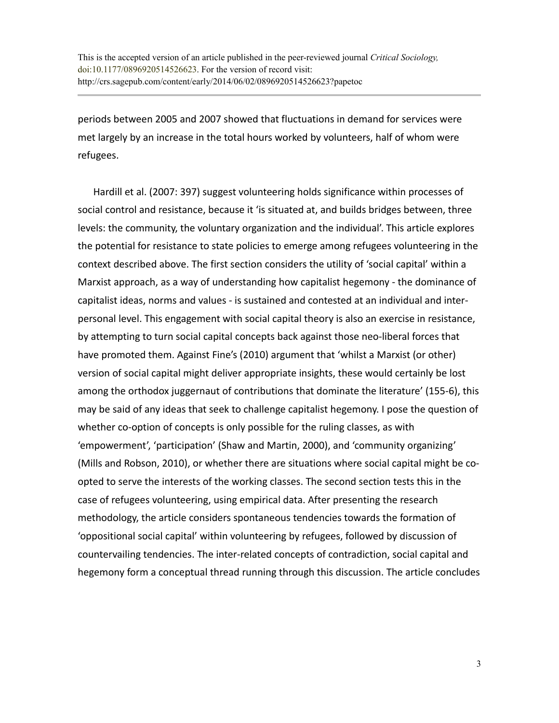periods between 2005 and 2007 showed that fluctuations in demand for services were met largely by an increase in the total hours worked by volunteers, half of whom were refugees.

Hardill et al. (2007: 397) suggest volunteering holds significance within processes of social control and resistance, because it 'is situated at, and builds bridges between, three levels: the community, the voluntary organization and the individual'. This article explores the potential for resistance to state policies to emerge among refugees volunteering in the context described above. The first section considers the utility of 'social capital' within a Marxist approach, as a way of understanding how capitalist hegemony - the dominance of capitalist ideas, norms and values - is sustained and contested at an individual and interpersonal level. This engagement with social capital theory is also an exercise in resistance, by attempting to turn social capital concepts back against those neo-liberal forces that have promoted them. Against Fine's (2010) argument that 'whilst a Marxist (or other) version of social capital might deliver appropriate insights, these would certainly be lost among the orthodox juggernaut of contributions that dominate the literature' (155-6), this may be said of any ideas that seek to challenge capitalist hegemony. I pose the question of whether co-option of concepts is only possible for the ruling classes, as with 'empowerment', 'participation' (Shaw and Martin, 2000), and 'community organizing' (Mills and Robson, 2010), or whether there are situations where social capital might be coopted to serve the interests of the working classes. The second section tests this in the case of refugees volunteering, using empirical data. After presenting the research methodology, the article considers spontaneous tendencies towards the formation of 'oppositional social capital' within volunteering by refugees, followed by discussion of countervailing tendencies. The inter-related concepts of contradiction, social capital and hegemony form a conceptual thread running through this discussion. The article concludes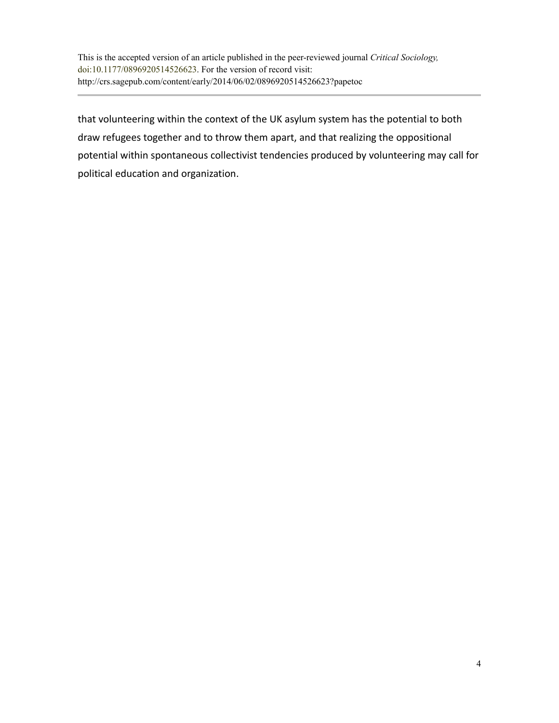that volunteering within the context of the UK asylum system has the potential to both draw refugees together and to throw them apart, and that realizing the oppositional potential within spontaneous collectivist tendencies produced by volunteering may call for political education and organization.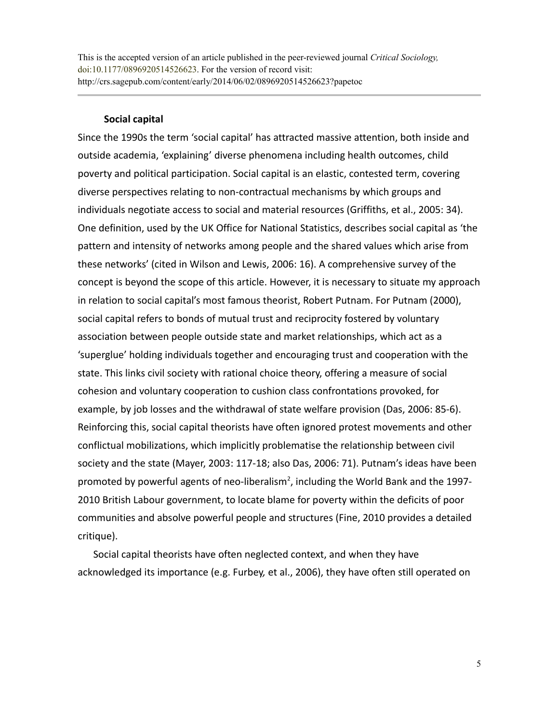This is the accepted version of an article published in the peer-reviewed journal *Critical Sociology,*  doi:10.1177/0896920514526623. For the version of record visit: http://crs.sagepub.com/content/early/2014/06/02/0896920514526623?papetoc

#### **Social capital**

Since the 1990s the term 'social capital' has attracted massive attention, both inside and outside academia, 'explaining' diverse phenomena including health outcomes, child poverty and political participation. Social capital is an elastic, contested term, covering diverse perspectives relating to non-contractual mechanisms by which groups and individuals negotiate access to social and material resources (Griffiths, et al., 2005: 34). One definition, used by the UK Office for National Statistics, describes social capital as 'the pattern and intensity of networks among people and the shared values which arise from these networks' (cited in Wilson and Lewis, 2006: 16). A comprehensive survey of the concept is beyond the scope of this article. However, it is necessary to situate my approach in relation to social capital's most famous theorist, Robert Putnam. For Putnam (2000), social capital refers to bonds of mutual trust and reciprocity fostered by voluntary association between people outside state and market relationships, which act as a 'superglue' holding individuals together and encouraging trust and cooperation with the state. This links civil society with rational choice theory, offering a measure of social cohesion and voluntary cooperation to cushion class confrontations provoked, for example, by job losses and the withdrawal of state welfare provision (Das, 2006: 85-6). Reinforcing this, social capital theorists have often ignored protest movements and other conflictual mobilizations, which implicitly problematise the relationship between civil society and the state (Mayer, 2003: 117-18; also Das, 2006: 71). Putnam's ideas have been promoted by powerful agents of neo-liberalism<sup>2</sup>, including the World Bank and the 1997-2010 British Labour government, to locate blame for poverty within the deficits of poor communities and absolve powerful people and structures (Fine, 2010 provides a detailed critique).

Social capital theorists have often neglected context, and when they have acknowledged its importance (e.g. Furbey*,* et al., 2006), they have often still operated on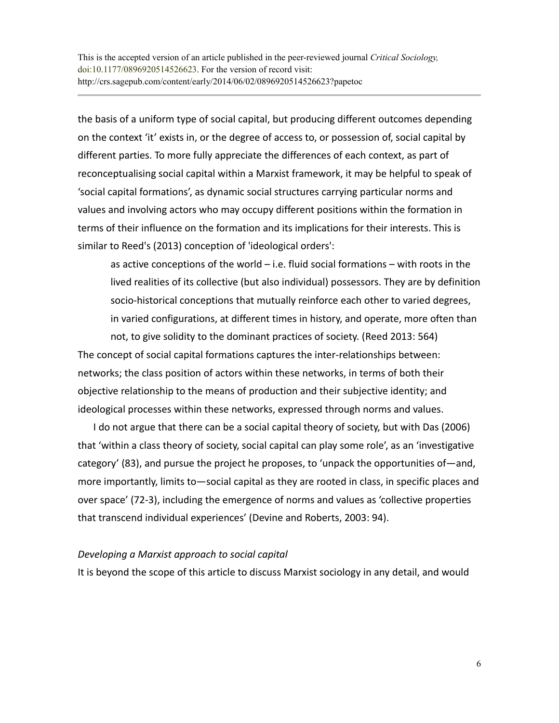the basis of a uniform type of social capital, but producing different outcomes depending on the context 'it' exists in, or the degree of access to, or possession of, social capital by different parties. To more fully appreciate the differences of each context, as part of reconceptualising social capital within a Marxist framework, it may be helpful to speak of 'social capital formations', as dynamic social structures carrying particular norms and values and involving actors who may occupy different positions within the formation in terms of their influence on the formation and its implications for their interests. This is similar to Reed's (2013) conception of 'ideological orders':

as active conceptions of the world  $-$  i.e. fluid social formations  $-$  with roots in the lived realities of its collective (but also individual) possessors. They are by definition socio-historical conceptions that mutually reinforce each other to varied degrees, in varied configurations, at different times in history, and operate, more often than

not, to give solidity to the dominant practices of society. [\(Reed 2013:](#page-35-0) 564) The concept of social capital formations captures the inter-relationships between: networks; the class position of actors within these networks, in terms of both their objective relationship to the means of production and their subjective identity; and ideological processes within these networks, expressed through norms and values.

I do not argue that there can be a social capital theory of society, but with Das (2006) that 'within a class theory of society, social capital can play some role', as an 'investigative category' (83), and pursue the project he proposes, to 'unpack the opportunities of—and, more importantly, limits to—social capital as they are rooted in class, in specific places and over space' (72-3), including the emergence of norms and values as 'collective properties that transcend individual experiences' (Devine and Roberts, 2003: 94).

### *Developing a Marxist approach to social capital*

It is beyond the scope of this article to discuss Marxist sociology in any detail, and would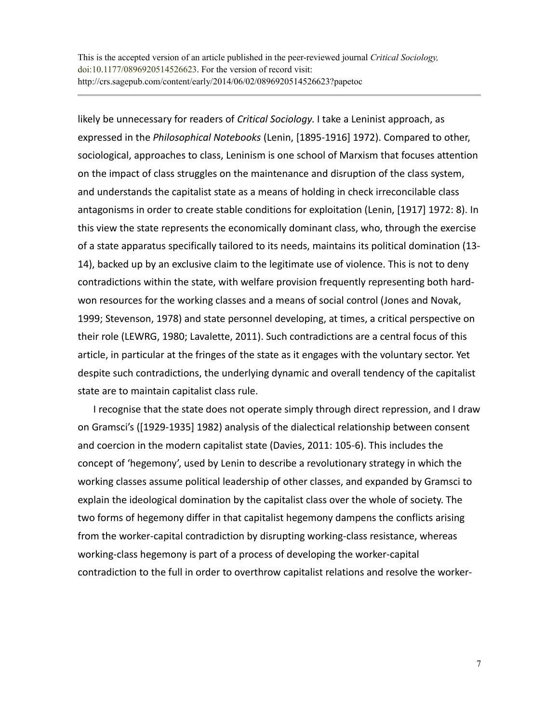This is the accepted version of an article published in the peer-reviewed journal *Critical Sociology,*  doi:10.1177/0896920514526623. For the version of record visit: http://crs.sagepub.com/content/early/2014/06/02/0896920514526623?papetoc

likely be unnecessary for readers of *Critical Sociology*. I take a Leninist approach, as expressed in the *Philosophical Notebooks* (Lenin, [1895-1916] 1972). Compared to other, sociological, approaches to class, Leninism is one school of Marxism that focuses attention on the impact of class struggles on the maintenance and disruption of the class system, and understands the capitalist state as a means of holding in check irreconcilable class antagonisms in order to create stable conditions for exploitation (Lenin, [1917] 1972: 8). In this view the state represents the economically dominant class, who, through the exercise of a state apparatus specifically tailored to its needs, maintains its political domination (13- 14), backed up by an exclusive claim to the legitimate use of violence. This is not to deny contradictions within the state, with welfare provision frequently representing both hardwon resources for the working classes and a means of social control [\(Jones and Novak,](#page-34-2) [1999;](#page-34-2) [Stevenson, 1978\)](#page-36-0) and state personnel developing, at times, a critical perspective on their role [\(LEWRG, 1980;](#page-34-1) [Lavalette, 2011\)](#page-34-0). Such contradictions are a central focus of this article, in particular at the fringes of the state as it engages with the voluntary sector. Yet despite such contradictions, the underlying dynamic and overall tendency of the capitalist state are to maintain capitalist class rule.

I recognise that the state does not operate simply through direct repression, and I draw on Gramsci's ([1929-1935] 1982) analysis of the dialectical relationship between consent and coercion in the modern capitalist state (Davies, 2011: 105-6). This includes the concept of 'hegemony', used by Lenin to describe a revolutionary strategy in which the working classes assume political leadership of other classes, and expanded by Gramsci to explain the ideological domination by the capitalist class over the whole of society. The two forms of hegemony differ in that capitalist hegemony dampens the conflicts arising from the worker-capital contradiction by disrupting working-class resistance, whereas working-class hegemony is part of a process of developing the worker-capital contradiction to the full in order to overthrow capitalist relations and resolve the worker-

7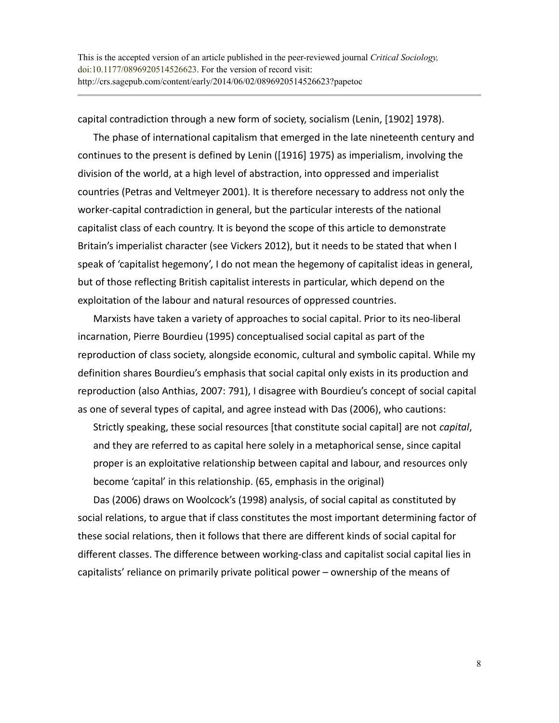capital contradiction through a new form of society, socialism (Lenin, [1902] 1978).

The phase of international capitalism that emerged in the late nineteenth century and continues to the present is defined by Lenin ([1916] 1975) as imperialism, involving the division of the world, at a high level of abstraction, into oppressed and imperialist countries (Petras and Veltmeyer 2001). It is therefore necessary to address not only the worker-capital contradiction in general, but the particular interests of the national capitalist class of each country. It is beyond the scope of this article to demonstrate Britain's imperialist character (see Vickers 2012), but it needs to be stated that when I speak of 'capitalist hegemony', I do not mean the hegemony of capitalist ideas in general, but of those reflecting British capitalist interests in particular, which depend on the exploitation of the labour and natural resources of oppressed countries.

Marxists have taken a variety of approaches to social capital. Prior to its neo-liberal incarnation, Pierre Bourdieu (1995) conceptualised social capital as part of the reproduction of class society, alongside economic, cultural and symbolic capital. While my definition shares Bourdieu's emphasis that social capital only exists in its production and reproduction (also Anthias, 2007: 791), I disagree with Bourdieu's concept of social capital as one of several types of capital, and agree instead with Das (2006), who cautions:

Strictly speaking, these social resources [that constitute social capital] are not *capital*, and they are referred to as capital here solely in a metaphorical sense, since capital proper is an exploitative relationship between capital and labour, and resources only become 'capital' in this relationship. (65, emphasis in the original)

Das (2006) draws on Woolcock's (1998) analysis, of social capital as constituted by social relations, to argue that if class constitutes the most important determining factor of these social relations, then it follows that there are different kinds of social capital for different classes. The difference between working-class and capitalist social capital lies in capitalists' reliance on primarily private political power – ownership of the means of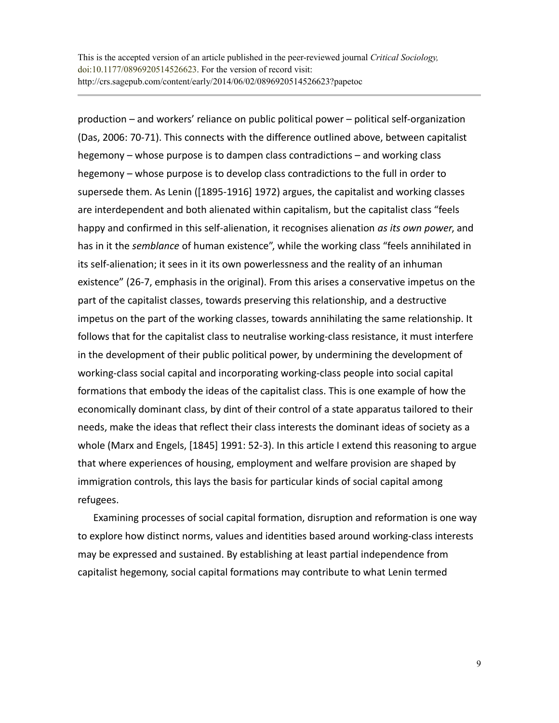production – and workers' reliance on public political power – political self-organization (Das, 2006: 70-71). This connects with the difference outlined above, between capitalist hegemony – whose purpose is to dampen class contradictions – and working class hegemony – whose purpose is to develop class contradictions to the full in order to supersede them. As Lenin ([1895-1916] 1972) argues, the capitalist and working classes are interdependent and both alienated within capitalism, but the capitalist class "feels happy and confirmed in this self-alienation, it recognises alienation *as its own power*, and has in it the *semblance* of human existence", while the working class "feels annihilated in its self-alienation; it sees in it its own powerlessness and the reality of an inhuman existence" (26-7, emphasis in the original). From this arises a conservative impetus on the part of the capitalist classes, towards preserving this relationship, and a destructive impetus on the part of the working classes, towards annihilating the same relationship. It follows that for the capitalist class to neutralise working-class resistance, it must interfere in the development of their public political power, by undermining the development of working-class social capital and incorporating working-class people into social capital formations that embody the ideas of the capitalist class. This is one example of how the economically dominant class, by dint of their control of a state apparatus tailored to their needs, make the ideas that reflect their class interests the dominant ideas of society as a whole (Marx and Engels, [1845] 1991: 52-3). In this article I extend this reasoning to argue that where experiences of housing, employment and welfare provision are shaped by immigration controls, this lays the basis for particular kinds of social capital among refugees.

Examining processes of social capital formation, disruption and reformation is one way to explore how distinct norms, values and identities based around working-class interests may be expressed and sustained. By establishing at least partial independence from capitalist hegemony, social capital formations may contribute to what Lenin termed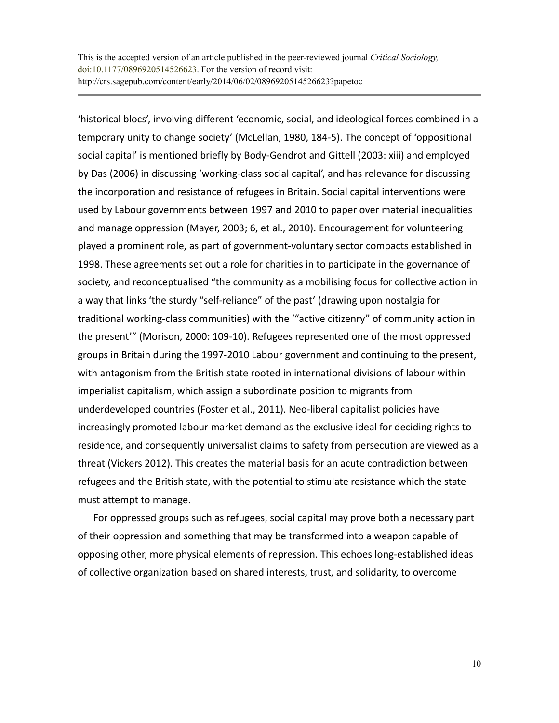This is the accepted version of an article published in the peer-reviewed journal *Critical Sociology,*  doi:10.1177/0896920514526623. For the version of record visit: http://crs.sagepub.com/content/early/2014/06/02/0896920514526623?papetoc

'historical blocs', involving different 'economic, social, and ideological forces combined in a temporary unity to change society' (McLellan, 1980, 184-5). The concept of 'oppositional social capital' is mentioned briefly by Body-Gendrot and Gittell (2003: xiii) and employed by Das (2006) in discussing 'working-class social capital', and has relevance for discussing the incorporation and resistance of refugees in Britain. Social capital interventions were used by Labour governments between 1997 and 2010 to paper over material inequalities and manage oppression (Mayer, 2003; 6, et al., 2010). Encouragement for volunteering played a prominent role, as part of government-voluntary sector compacts established in 1998. These agreements set out a role for charities in to participate in the governance of society, and reconceptualised "the community as a mobilising focus for collective action in a way that links 'the sturdy "self-reliance" of the past' (drawing upon nostalgia for traditional working-class communities) with the '"active citizenry" of community action in the present'" (Morison, 2000: 109-10). Refugees represented one of the most oppressed groups in Britain during the 1997-2010 Labour government and continuing to the present, with antagonism from the British state rooted in international divisions of labour within imperialist capitalism, which assign a subordinate position to migrants from underdeveloped countries [\(Foster et al., 2011\)](#page-9-0). Neo-liberal capitalist policies have increasingly promoted labour market demand as the exclusive ideal for deciding rights to residence, and consequently universalist claims to safety from persecution are viewed as a threat (Vickers 2012). This creates the material basis for an acute contradiction between refugees and the British state, with the potential to stimulate resistance which the state must attempt to manage.

<span id="page-9-0"></span>For oppressed groups such as refugees, social capital may prove both a necessary part of their oppression and something that may be transformed into a weapon capable of opposing other, more physical elements of repression. This echoes long-established ideas of collective organization based on shared interests, trust, and solidarity, to overcome

10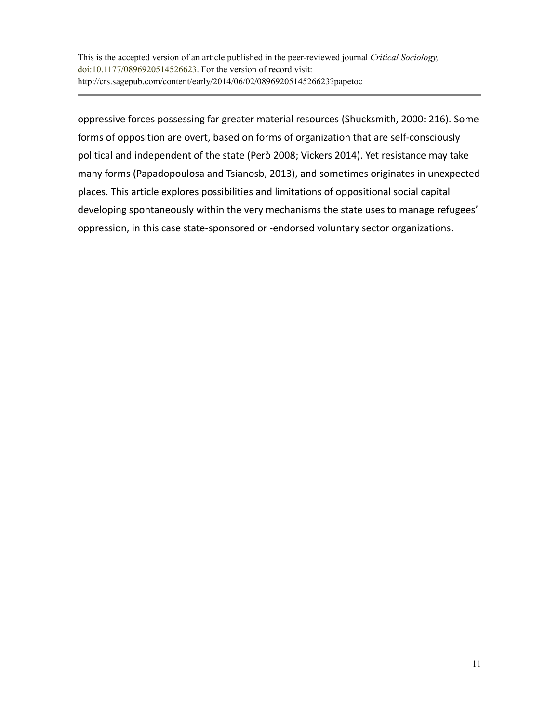oppressive forces possessing far greater material resources (Shucksmith, 2000: 216). Some forms of opposition are overt, based on forms of organization that are self-consciously political and independent of the state [\(Però 2008;](#page-35-2) Vickers 2014). Yet resistance may take many forms [\(Papadopoulosa and Tsianosb, 2013\)](#page-35-1), and sometimes originates in unexpected places. This article explores possibilities and limitations of oppositional social capital developing spontaneously within the very mechanisms the state uses to manage refugees' oppression, in this case state-sponsored or -endorsed voluntary sector organizations.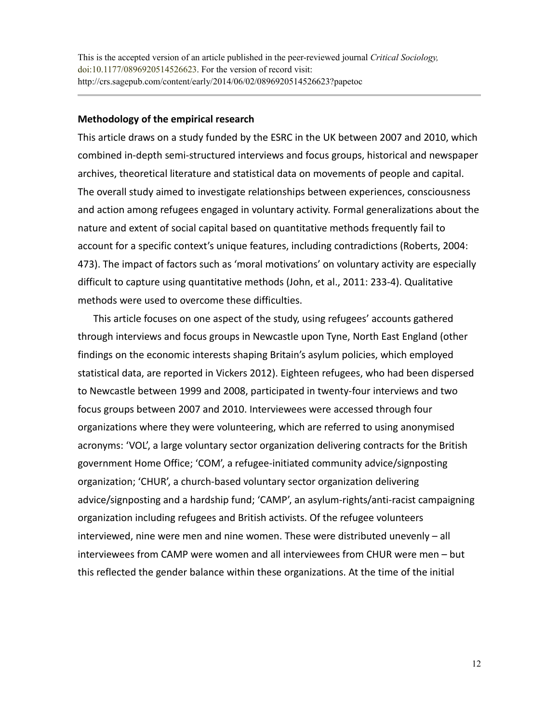## **Methodology of the empirical research**

This article draws on a study funded by the ESRC in the UK between 2007 and 2010, which combined in-depth semi-structured interviews and focus groups, historical and newspaper archives, theoretical literature and statistical data on movements of people and capital. The overall study aimed to investigate relationships between experiences, consciousness and action among refugees engaged in voluntary activity. Formal generalizations about the nature and extent of social capital based on quantitative methods frequently fail to account for a specific context's unique features, including contradictions (Roberts, 2004: 473). The impact of factors such as 'moral motivations' on voluntary activity are especially difficult to capture using quantitative methods (John, et al., 2011: 233-4). Qualitative methods were used to overcome these difficulties.

This article focuses on one aspect of the study, using refugees' accounts gathered through interviews and focus groups in Newcastle upon Tyne, North East England (other findings on the economic interests shaping Britain's asylum policies, which employed statistical data, are reported in Vickers 2012). Eighteen refugees, who had been dispersed to Newcastle between 1999 and 2008, participated in twenty-four interviews and two focus groups between 2007 and 2010. Interviewees were accessed through four organizations where they were volunteering, which are referred to using anonymised acronyms: 'VOL', a large voluntary sector organization delivering contracts for the British government Home Office; 'COM', a refugee-initiated community advice/signposting organization; 'CHUR', a church-based voluntary sector organization delivering advice/signposting and a hardship fund; 'CAMP', an asylum-rights/anti-racist campaigning organization including refugees and British activists. Of the refugee volunteers interviewed, nine were men and nine women. These were distributed unevenly – all interviewees from CAMP were women and all interviewees from CHUR were men – but this reflected the gender balance within these organizations. At the time of the initial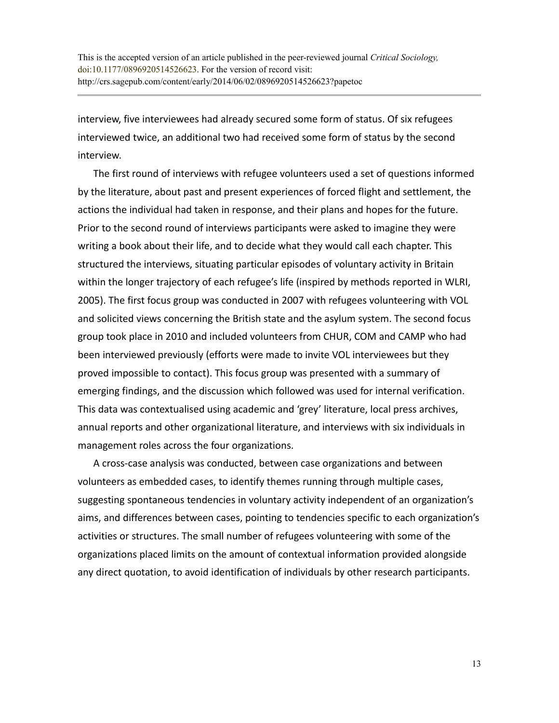interview, five interviewees had already secured some form of status. Of six refugees interviewed twice, an additional two had received some form of status by the second interview.

The first round of interviews with refugee volunteers used a set of questions informed by the literature, about past and present experiences of forced flight and settlement, the actions the individual had taken in response, and their plans and hopes for the future. Prior to the second round of interviews participants were asked to imagine they were writing a book about their life, and to decide what they would call each chapter. This structured the interviews, situating particular episodes of voluntary activity in Britain within the longer trajectory of each refugee's life (inspired by methods reported in WLRI, 2005). The first focus group was conducted in 2007 with refugees volunteering with VOL and solicited views concerning the British state and the asylum system. The second focus group took place in 2010 and included volunteers from CHUR, COM and CAMP who had been interviewed previously (efforts were made to invite VOL interviewees but they proved impossible to contact). This focus group was presented with a summary of emerging findings, and the discussion which followed was used for internal verification. This data was contextualised using academic and 'grey' literature, local press archives, annual reports and other organizational literature, and interviews with six individuals in management roles across the four organizations.

A cross-case analysis was conducted, between case organizations and between volunteers as embedded cases, to identify themes running through multiple cases, suggesting spontaneous tendencies in voluntary activity independent of an organization's aims, and differences between cases, pointing to tendencies specific to each organization's activities or structures. The small number of refugees volunteering with some of the organizations placed limits on the amount of contextual information provided alongside any direct quotation, to avoid identification of individuals by other research participants.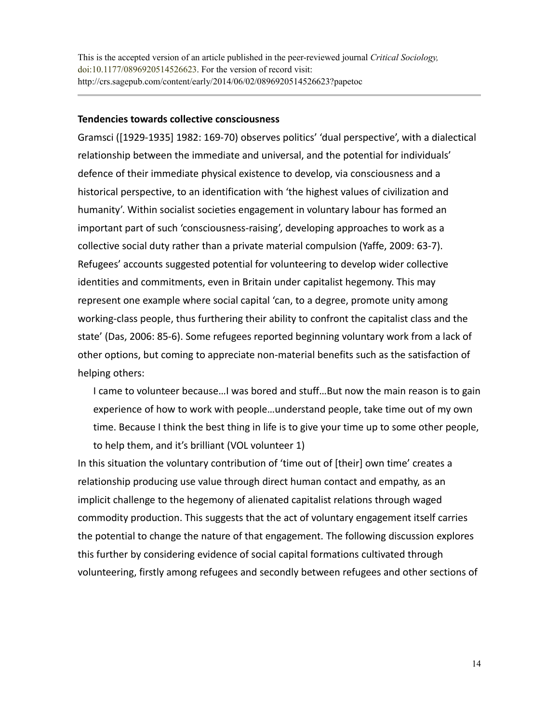#### **Tendencies towards collective consciousness**

Gramsci ([1929-1935] 1982: 169-70) observes politics' 'dual perspective', with a dialectical relationship between the immediate and universal, and the potential for individuals' defence of their immediate physical existence to develop, via consciousness and a historical perspective, to an identification with 'the highest values of civilization and humanity'. Within socialist societies engagement in voluntary labour has formed an important part of such 'consciousness-raising', developing approaches to work as a collective social duty rather than a private material compulsion (Yaffe, 2009: 63-7). Refugees' accounts suggested potential for volunteering to develop wider collective identities and commitments, even in Britain under capitalist hegemony. This may represent one example where social capital 'can, to a degree, promote unity among working-class people, thus furthering their ability to confront the capitalist class and the state' (Das, 2006: 85-6). Some refugees reported beginning voluntary work from a lack of other options, but coming to appreciate non-material benefits such as the satisfaction of helping others:

I came to volunteer because…I was bored and stuff…But now the main reason is to gain experience of how to work with people…understand people, take time out of my own time. Because I think the best thing in life is to give your time up to some other people, to help them, and it's brilliant (VOL volunteer 1)

In this situation the voluntary contribution of 'time out of [their] own time' creates a relationship producing use value through direct human contact and empathy, as an implicit challenge to the hegemony of alienated capitalist relations through waged commodity production. This suggests that the act of voluntary engagement itself carries the potential to change the nature of that engagement. The following discussion explores this further by considering evidence of social capital formations cultivated through volunteering, firstly among refugees and secondly between refugees and other sections of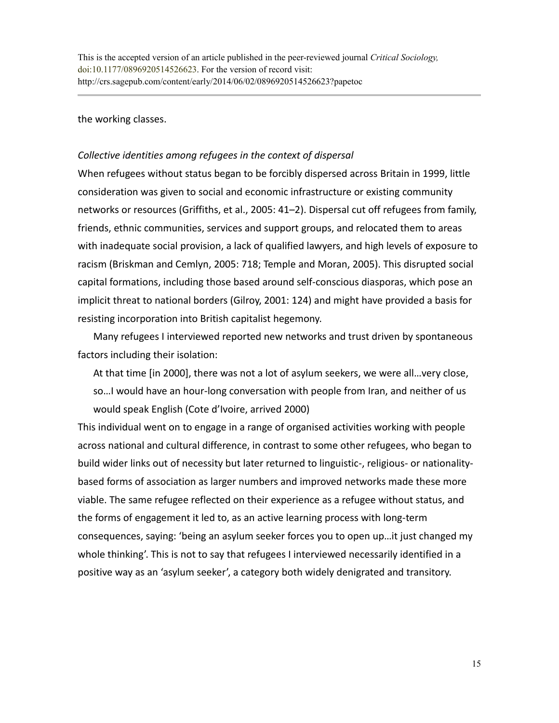the working classes.

## *Collective identities among refugees in the context of dispersal*

When refugees without status began to be forcibly dispersed across Britain in 1999, little consideration was given to social and economic infrastructure or existing community networks or resources (Griffiths, et al., 2005: 41–2). Dispersal cut off refugees from family, friends, ethnic communities, services and support groups, and relocated them to areas with inadequate social provision, a lack of qualified lawyers, and high levels of exposure to racism (Briskman and Cemlyn, 2005: 718; Temple and Moran, 2005). This disrupted social capital formations, including those based around self-conscious diasporas, which pose an implicit threat to national borders (Gilroy, 2001: 124) and might have provided a basis for resisting incorporation into British capitalist hegemony.

Many refugees I interviewed reported new networks and trust driven by spontaneous factors including their isolation:

At that time [in 2000], there was not a lot of asylum seekers, we were all…very close, so…I would have an hour-long conversation with people from Iran, and neither of us would speak English (Cote d'Ivoire, arrived 2000)

This individual went on to engage in a range of organised activities working with people across national and cultural difference, in contrast to some other refugees, who began to build wider links out of necessity but later returned to linguistic-, religious- or nationalitybased forms of association as larger numbers and improved networks made these more viable. The same refugee reflected on their experience as a refugee without status, and the forms of engagement it led to, as an active learning process with long-term consequences, saying: 'being an asylum seeker forces you to open up…it just changed my whole thinking'. This is not to say that refugees I interviewed necessarily identified in a positive way as an 'asylum seeker', a category both widely denigrated and transitory.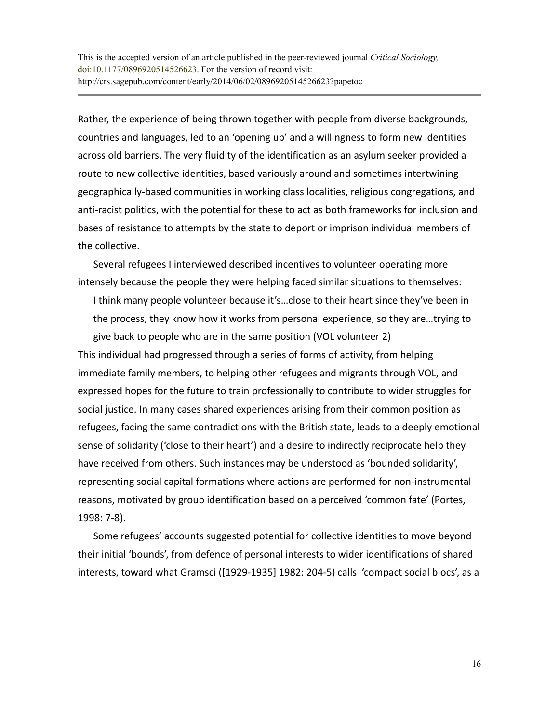Rather, the experience of being thrown together with people from diverse backgrounds, countries and languages, led to an 'opening up' and a willingness to form new identities across old barriers. The very fluidity of the identification as an asylum seeker provided a route to new collective identities, based variously around and sometimes intertwining geographically-based communities in working class localities, religious congregations, and anti-racist politics, with the potential for these to act as both frameworks for inclusion and bases of resistance to attempts by the state to deport or imprison individual members of the collective.

Several refugees I interviewed described incentives to volunteer operating more intensely because the people they were helping faced similar situations to themselves:

I think many people volunteer because it's…close to their heart since they've been in the process, they know how it works from personal experience, so they are…trying to give back to people who are in the same position (VOL volunteer 2)

This individual had progressed through a series of forms of activity, from helping immediate family members, to helping other refugees and migrants through VOL, and expressed hopes for the future to train professionally to contribute to wider struggles for social justice. In many cases shared experiences arising from their common position as refugees, facing the same contradictions with the British state, leads to a deeply emotional sense of solidarity ('close to their heart') and a desire to indirectly reciprocate help they have received from others. Such instances may be understood as 'bounded solidarity', representing social capital formations where actions are performed for non-instrumental reasons, motivated by group identification based on a perceived 'common fate' (Portes, 1998: 7-8).

Some refugees' accounts suggested potential for collective identities to move beyond their initial 'bounds', from defence of personal interests to wider identifications of shared interests, toward what Gramsci ([1929-1935] 1982: 204-5) calls 'compact social blocs', as a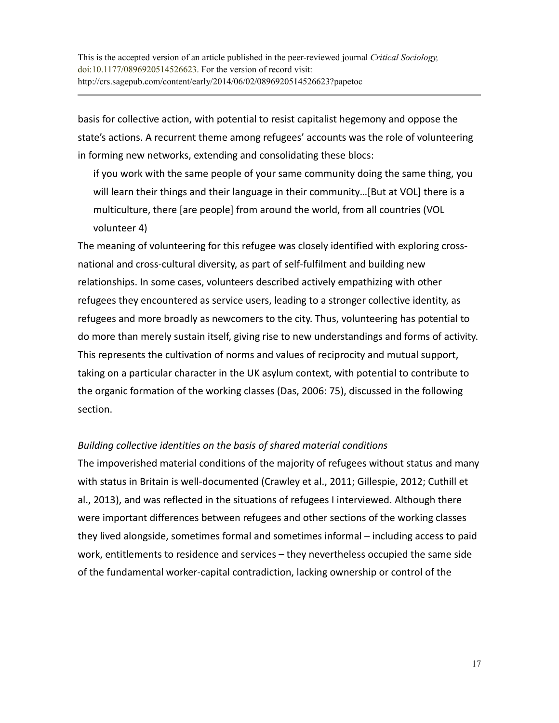basis for collective action, with potential to resist capitalist hegemony and oppose the state's actions. A recurrent theme among refugees' accounts was the role of volunteering in forming new networks, extending and consolidating these blocs:

if you work with the same people of your same community doing the same thing, you will learn their things and their language in their community…[But at VOL] there is a multiculture, there [are people] from around the world, from all countries (VOL volunteer 4)

The meaning of volunteering for this refugee was closely identified with exploring crossnational and cross-cultural diversity, as part of self-fulfilment and building new relationships. In some cases, volunteers described actively empathizing with other refugees they encountered as service users, leading to a stronger collective identity, as refugees and more broadly as newcomers to the city. Thus, volunteering has potential to do more than merely sustain itself, giving rise to new understandings and forms of activity. This represents the cultivation of norms and values of reciprocity and mutual support, taking on a particular character in the UK asylum context, with potential to contribute to the organic formation of the working classes (Das, 2006: 75), discussed in the following section.

# *Building collective identities on the basis of shared material conditions*

The impoverished material conditions of the majority of refugees without status and many with status in Britain is well-documented [\(Crawley et al., 2011;](#page-32-0) [Gillespie, 2012;](#page-33-0) Cuthill et al., 2013), and was reflected in the situations of refugees I interviewed. Although there were important differences between refugees and other sections of the working classes they lived alongside, sometimes formal and sometimes informal – including access to paid work, entitlements to residence and services – they nevertheless occupied the same side of the fundamental worker-capital contradiction, lacking ownership or control of the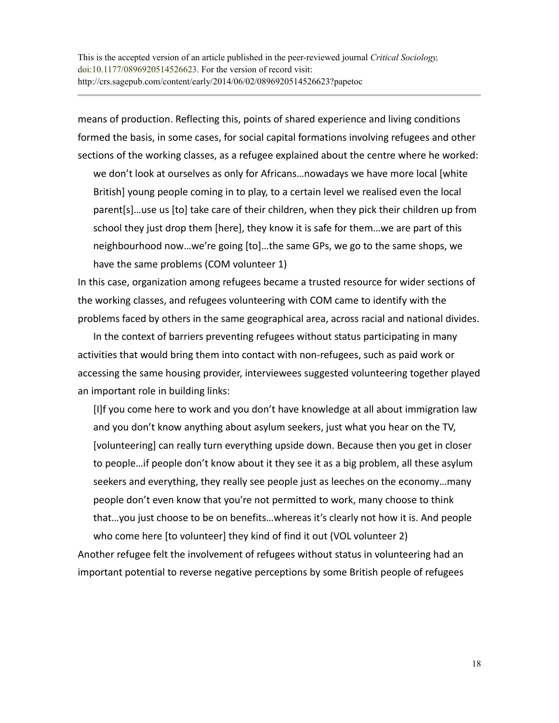means of production. Reflecting this, points of shared experience and living conditions formed the basis, in some cases, for social capital formations involving refugees and other sections of the working classes, as a refugee explained about the centre where he worked:

we don't look at ourselves as only for Africans…nowadays we have more local [white British] young people coming in to play, to a certain level we realised even the local parent[s]…use us [to] take care of their children, when they pick their children up from school they just drop them [here], they know it is safe for them…we are part of this neighbourhood now…we're going [to]…the same GPs, we go to the same shops, we have the same problems (COM volunteer 1)

In this case, organization among refugees became a trusted resource for wider sections of the working classes, and refugees volunteering with COM came to identify with the problems faced by others in the same geographical area, across racial and national divides.

In the context of barriers preventing refugees without status participating in many activities that would bring them into contact with non-refugees, such as paid work or accessing the same housing provider, interviewees suggested volunteering together played an important role in building links:

[I]f you come here to work and you don't have knowledge at all about immigration law and you don't know anything about asylum seekers, just what you hear on the TV, [volunteering] can really turn everything upside down. Because then you get in closer to people…if people don't know about it they see it as a big problem, all these asylum seekers and everything, they really see people just as leeches on the economy…many people don't even know that you're not permitted to work, many choose to think that…you just choose to be on benefits…whereas it's clearly not how it is. And people who come here [to volunteer] they kind of find it out (VOL volunteer 2)

Another refugee felt the involvement of refugees without status in volunteering had an important potential to reverse negative perceptions by some British people of refugees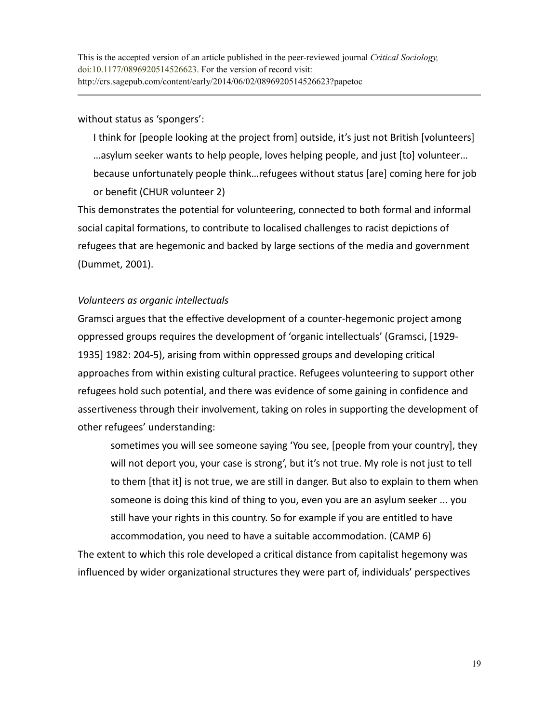## without status as 'spongers':

I think for [people looking at the project from] outside, it's just not British [volunteers] …asylum seeker wants to help people, loves helping people, and just [to] volunteer… because unfortunately people think…refugees without status [are] coming here for job or benefit (CHUR volunteer 2)

This demonstrates the potential for volunteering, connected to both formal and informal social capital formations, to contribute to localised challenges to racist depictions of refugees that are hegemonic and backed by large sections of the media and government (Dummet, 2001).

# *Volunteers as organic intellectuals*

<span id="page-18-0"></span>Gramsci argues that the effective development of a counter-hegemonic project among oppressed groups requires the development of 'organic intellectuals' [\(Gramsci, \[1929-](#page-18-0) [1935\] 1982:](#page-18-0) 204-5), arising from within oppressed groups and developing critical approaches from within existing cultural practice. Refugees volunteering to support other refugees hold such potential, and there was evidence of some gaining in confidence and assertiveness through their involvement, taking on roles in supporting the development of other refugees' understanding:

sometimes you will see someone saying 'You see, [people from your country], they will not deport you, your case is strong', but it's not true. My role is not just to tell to them [that it] is not true, we are still in danger. But also to explain to them when someone is doing this kind of thing to you, even you are an asylum seeker ... you still have your rights in this country. So for example if you are entitled to have accommodation, you need to have a suitable accommodation. (CAMP 6)

The extent to which this role developed a critical distance from capitalist hegemony was influenced by wider organizational structures they were part of, individuals' perspectives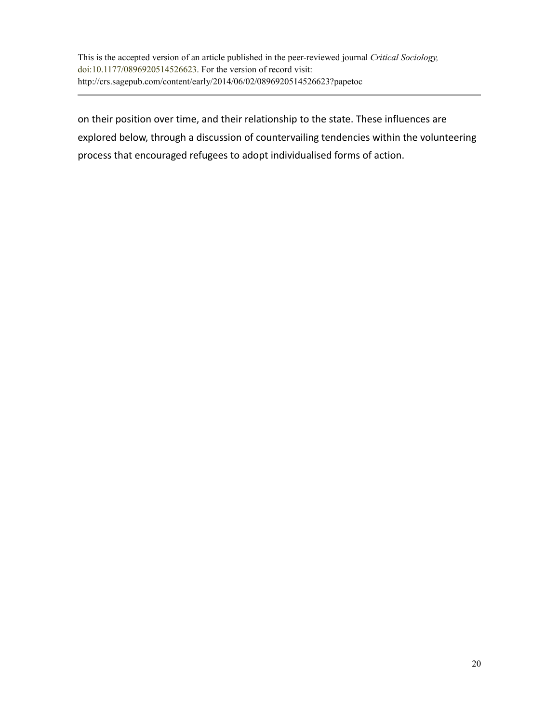on their position over time, and their relationship to the state. These influences are explored below, through a discussion of countervailing tendencies within the volunteering process that encouraged refugees to adopt individualised forms of action.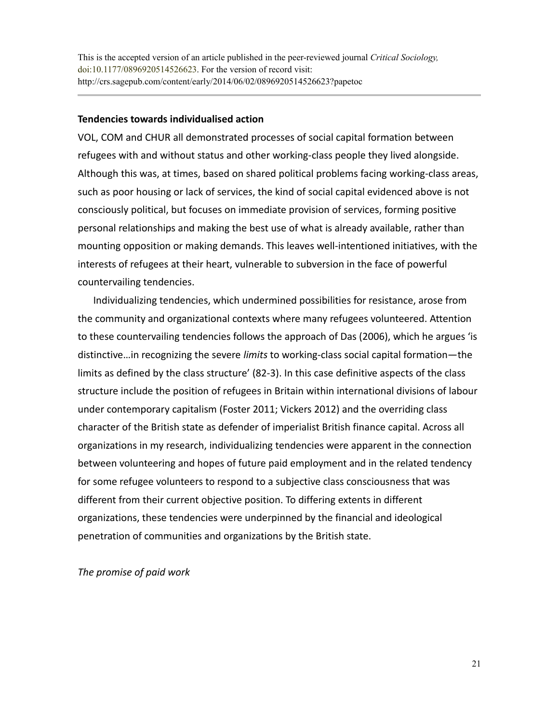## **Tendencies towards individualised action**

VOL, COM and CHUR all demonstrated processes of social capital formation between refugees with and without status and other working-class people they lived alongside. Although this was, at times, based on shared political problems facing working-class areas, such as poor housing or lack of services, the kind of social capital evidenced above is not consciously political, but focuses on immediate provision of services, forming positive personal relationships and making the best use of what is already available, rather than mounting opposition or making demands. This leaves well-intentioned initiatives, with the interests of refugees at their heart, vulnerable to subversion in the face of powerful countervailing tendencies.

Individualizing tendencies, which undermined possibilities for resistance, arose from the community and organizational contexts where many refugees volunteered. Attention to these countervailing tendencies follows the approach of Das (2006), which he argues 'is distinctive…in recognizing the severe *limits* to working-class social capital formation—the limits as defined by the class structure' (82-3). In this case definitive aspects of the class structure include the position of refugees in Britain within international divisions of labour under contemporary capitalism (Foster 2011; Vickers 2012) and the overriding class character of the British state as defender of imperialist British finance capital. Across all organizations in my research, individualizing tendencies were apparent in the connection between volunteering and hopes of future paid employment and in the related tendency for some refugee volunteers to respond to a subjective class consciousness that was different from their current objective position. To differing extents in different organizations, these tendencies were underpinned by the financial and ideological penetration of communities and organizations by the British state.

*The promise of paid work*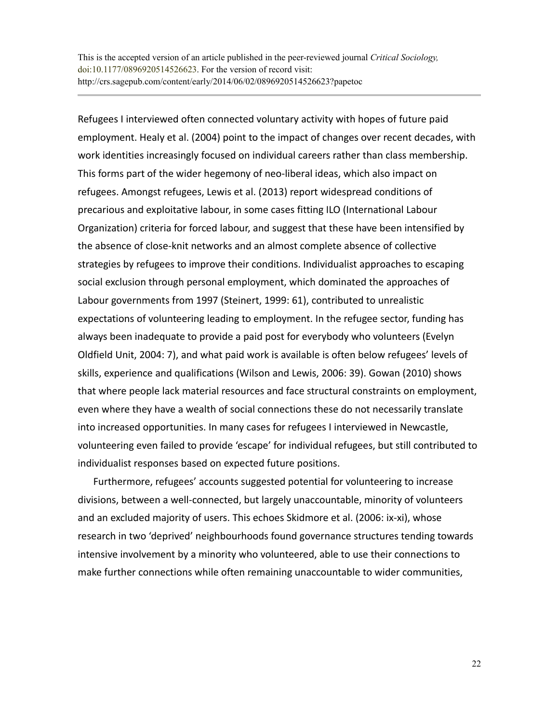Refugees I interviewed often connected voluntary activity with hopes of future paid employment. Healy et al. (2004) point to the impact of changes over recent decades, with work identities increasingly focused on individual careers rather than class membership. This forms part of the wider hegemony of neo-liberal ideas, which also impact on refugees. Amongst refugees, Lewis et al. [\(2013\)](#page-34-3) report widespread conditions of precarious and exploitative labour, in some cases fitting ILO (International Labour Organization) criteria for forced labour, and suggest that these have been intensified by the absence of close-knit networks and an almost complete absence of collective strategies by refugees to improve their conditions. Individualist approaches to escaping social exclusion through personal employment, which dominated the approaches of Labour governments from 1997 (Steinert, 1999: 61), contributed to unrealistic expectations of volunteering leading to employment. In the refugee sector, funding has always been inadequate to provide a paid post for everybody who volunteers (Evelyn Oldfield Unit, 2004: 7), and what paid work is available is often below refugees' levels of skills, experience and qualifications (Wilson and Lewis, 2006: 39). Gowan (2010) shows that where people lack material resources and face structural constraints on employment, even where they have a wealth of social connections these do not necessarily translate into increased opportunities. In many cases for refugees I interviewed in Newcastle, volunteering even failed to provide 'escape' for individual refugees, but still contributed to individualist responses based on expected future positions.

Furthermore, refugees' accounts suggested potential for volunteering to increase divisions, between a well-connected, but largely unaccountable, minority of volunteers and an excluded majority of users. This echoes Skidmore et al. (2006: ix-xi), whose research in two 'deprived' neighbourhoods found governance structures tending towards intensive involvement by a minority who volunteered, able to use their connections to make further connections while often remaining unaccountable to wider communities,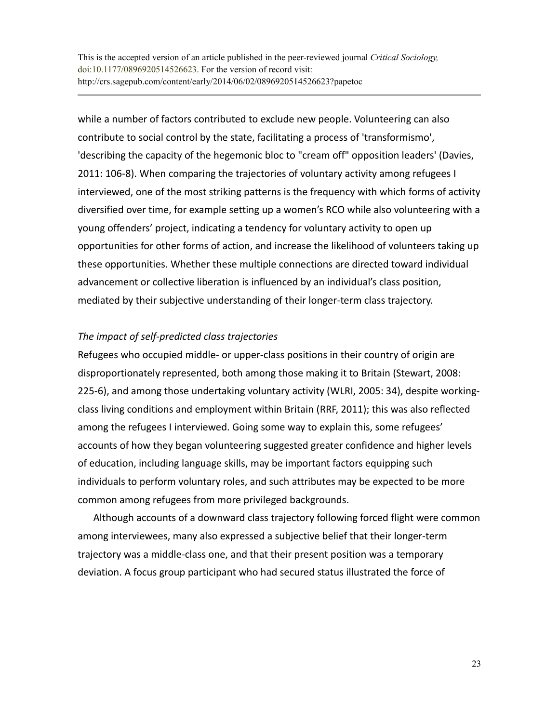while a number of factors contributed to exclude new people. Volunteering can also contribute to social control by the state, facilitating a process of 'transformismo', 'describing the capacity of the hegemonic bloc to "cream off" opposition leaders' (Davies, 2011: 106-8). When comparing the trajectories of voluntary activity among refugees I interviewed, one of the most striking patterns is the frequency with which forms of activity diversified over time, for example setting up a women's RCO while also volunteering with a young offenders' project, indicating a tendency for voluntary activity to open up opportunities for other forms of action, and increase the likelihood of volunteers taking up these opportunities. Whether these multiple connections are directed toward individual advancement or collective liberation is influenced by an individual's class position, mediated by their subjective understanding of their longer-term class trajectory.

# *The impact of self-predicted class trajectories*

Refugees who occupied middle- or upper-class positions in their country of origin are disproportionately represented, both among those making it to Britain (Stewart, 2008: 225-6), and among those undertaking voluntary activity (WLRI, 2005: 34), despite workingclass living conditions and employment within Britain [\(RRF, 2011\)](#page-35-3); this was also reflected among the refugees I interviewed. Going some way to explain this, some refugees' accounts of how they began volunteering suggested greater confidence and higher levels of education, including language skills, may be important factors equipping such individuals to perform voluntary roles, and such attributes may be expected to be more common among refugees from more privileged backgrounds.

Although accounts of a downward class trajectory following forced flight were common among interviewees, many also expressed a subjective belief that their longer-term trajectory was a middle-class one, and that their present position was a temporary deviation. A focus group participant who had secured status illustrated the force of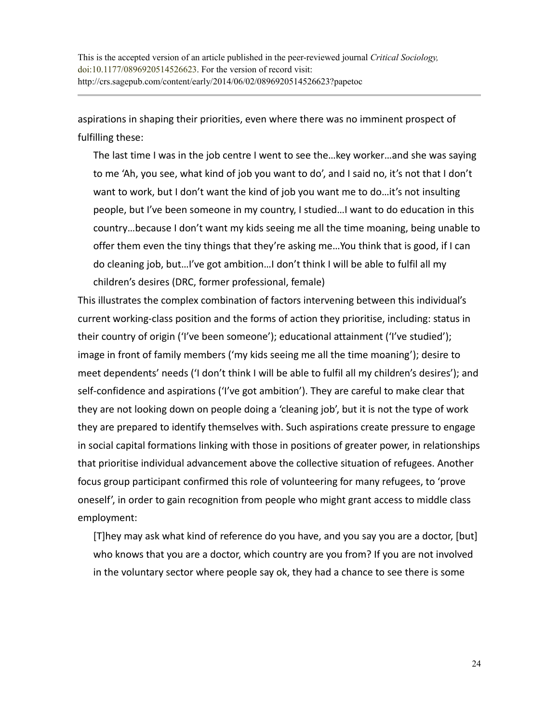aspirations in shaping their priorities, even where there was no imminent prospect of fulfilling these:

The last time I was in the job centre I went to see the…key worker…and she was saying to me 'Ah, you see, what kind of job you want to do', and I said no, it's not that I don't want to work, but I don't want the kind of job you want me to do…it's not insulting people, but I've been someone in my country, I studied…I want to do education in this country…because I don't want my kids seeing me all the time moaning, being unable to offer them even the tiny things that they're asking me…You think that is good, if I can do cleaning job, but…I've got ambition…I don't think I will be able to fulfil all my children's desires (DRC, former professional, female)

This illustrates the complex combination of factors intervening between this individual's current working-class position and the forms of action they prioritise, including: status in their country of origin ('I've been someone'); educational attainment ('I've studied'); image in front of family members ('my kids seeing me all the time moaning'); desire to meet dependents' needs ('I don't think I will be able to fulfil all my children's desires'); and self-confidence and aspirations ('I've got ambition'). They are careful to make clear that they are not looking down on people doing a 'cleaning job', but it is not the type of work they are prepared to identify themselves with. Such aspirations create pressure to engage in social capital formations linking with those in positions of greater power, in relationships that prioritise individual advancement above the collective situation of refugees. Another focus group participant confirmed this role of volunteering for many refugees, to 'prove oneself', in order to gain recognition from people who might grant access to middle class employment:

[T]hey may ask what kind of reference do you have, and you say you are a doctor, [but] who knows that you are a doctor, which country are you from? If you are not involved in the voluntary sector where people say ok, they had a chance to see there is some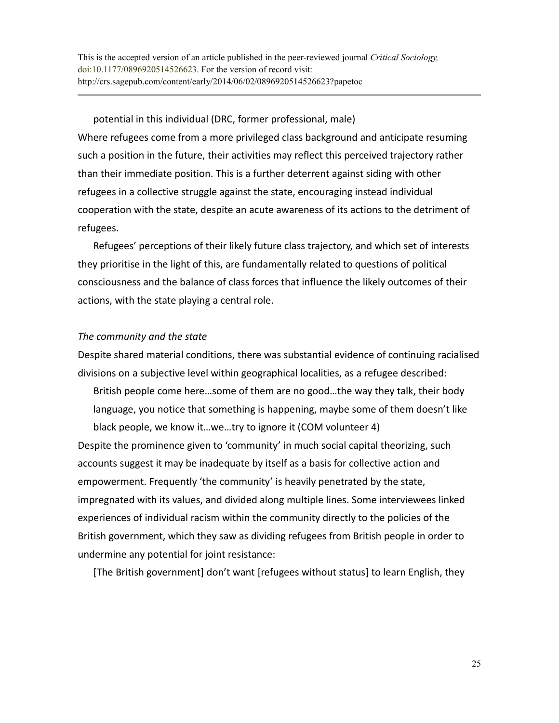potential in this individual (DRC, former professional, male)

Where refugees come from a more privileged class background and anticipate resuming such a position in the future, their activities may reflect this perceived trajectory rather than their immediate position. This is a further deterrent against siding with other refugees in a collective struggle against the state, encouraging instead individual cooperation with the state, despite an acute awareness of its actions to the detriment of refugees.

Refugees' perceptions of their likely future class trajectory, and which set of interests they prioritise in the light of this, are fundamentally related to questions of political consciousness and the balance of class forces that influence the likely outcomes of their actions, with the state playing a central role.

## *The community and the state*

Despite shared material conditions, there was substantial evidence of continuing racialised divisions on a subjective level within geographical localities, as a refugee described: British people come here…some of them are no good…the way they talk, their body language, you notice that something is happening, maybe some of them doesn't like black people, we know it…we…try to ignore it (COM volunteer 4)

Despite the prominence given to 'community' in much social capital theorizing, such accounts suggest it may be inadequate by itself as a basis for collective action and empowerment. Frequently 'the community' is heavily penetrated by the state, impregnated with its values, and divided along multiple lines. Some interviewees linked experiences of individual racism within the community directly to the policies of the British government, which they saw as dividing refugees from British people in order to undermine any potential for joint resistance:

[The British government] don't want [refugees without status] to learn English, they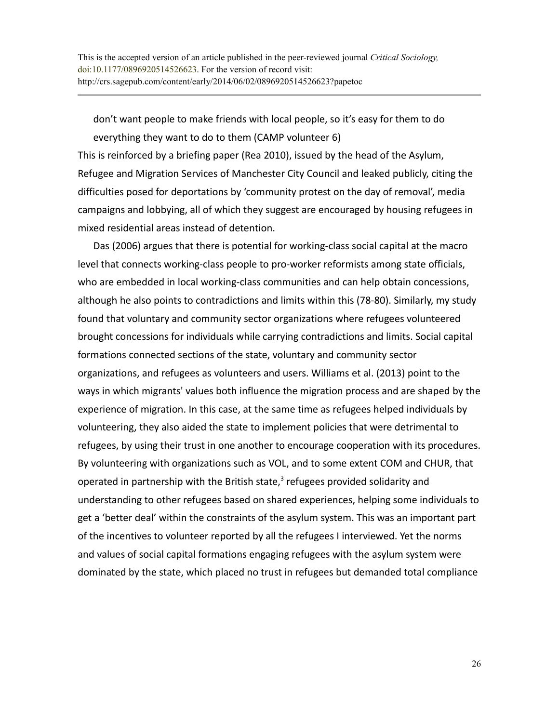don't want people to make friends with local people, so it's easy for them to do everything they want to do to them (CAMP volunteer 6) This is reinforced by a briefing paper (Rea 2010), issued by the head of the Asylum, Refugee and Migration Services of Manchester City Council and leaked publicly, citing the difficulties posed for deportations by 'community protest on the day of removal', media campaigns and lobbying, all of which they suggest are encouraged by housing refugees in mixed residential areas instead of detention.

Das (2006) argues that there is potential for working-class social capital at the macro level that connects working-class people to pro-worker reformists among state officials, who are embedded in local working-class communities and can help obtain concessions, although he also points to contradictions and limits within this (78-80). Similarly, my study found that voluntary and community sector organizations where refugees volunteered brought concessions for individuals while carrying contradictions and limits. Social capital formations connected sections of the state, voluntary and community sector organizations, and refugees as volunteers and users. Williams et al. (2013) point to the ways in which migrants' values both influence the migration process and are shaped by the experience of migration. In this case, at the same time as refugees helped individuals by volunteering, they also aided the state to implement policies that were detrimental to refugees, by using their trust in one another to encourage cooperation with its procedures. By volunteering with organizations such as VOL, and to some extent COM and CHUR, that operated in partnership with the British state, $3$  refugees provided solidarity and understanding to other refugees based on shared experiences, helping some individuals to get a 'better deal' within the constraints of the asylum system. This was an important part of the incentives to volunteer reported by all the refugees I interviewed. Yet the norms and values of social capital formations engaging refugees with the asylum system were dominated by the state, which placed no trust in refugees but demanded total compliance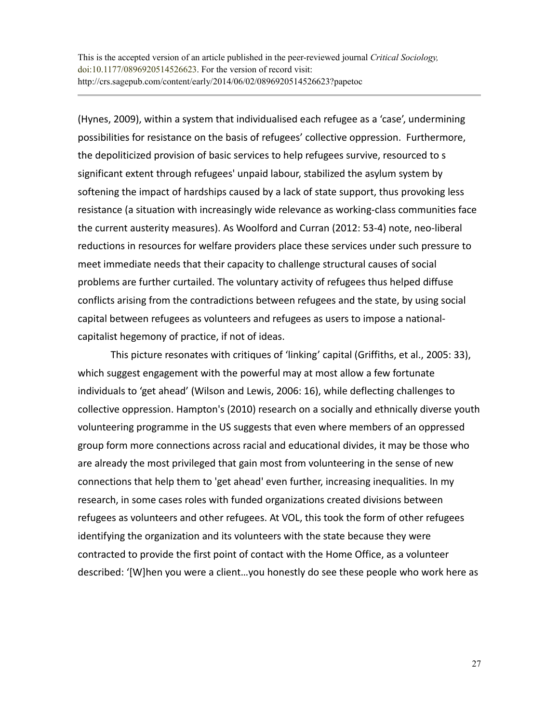(Hynes, 2009), within a system that individualised each refugee as a 'case', undermining possibilities for resistance on the basis of refugees' collective oppression. Furthermore, the depoliticized provision of basic services to help refugees survive, resourced to s significant extent through refugees' unpaid labour, stabilized the asylum system by softening the impact of hardships caused by a lack of state support, thus provoking less resistance (a situation with increasingly wide relevance as working-class communities face the current austerity measures). As Woolford and Curran (2012: 53-4) note, neo-liberal reductions in resources for welfare providers place these services under such pressure to meet immediate needs that their capacity to challenge structural causes of social problems are further curtailed. The voluntary activity of refugees thus helped diffuse conflicts arising from the contradictions between refugees and the state, by using social capital between refugees as volunteers and refugees as users to impose a nationalcapitalist hegemony of practice, if not of ideas.

This picture resonates with critiques of 'linking' capital (Griffiths, et al., 2005: 33), which suggest engagement with the powerful may at most allow a few fortunate individuals to 'get ahead' (Wilson and Lewis, 2006: 16), while deflecting challenges to collective oppression. Hampton's (2010) research on a socially and ethnically diverse youth volunteering programme in the US suggests that even where members of an oppressed group form more connections across racial and educational divides, it may be those who are already the most privileged that gain most from volunteering in the sense of new connections that help them to 'get ahead' even further, increasing inequalities. In my research, in some cases roles with funded organizations created divisions between refugees as volunteers and other refugees. At VOL, this took the form of other refugees identifying the organization and its volunteers with the state because they were contracted to provide the first point of contact with the Home Office, as a volunteer described: '[W]hen you were a client…you honestly do see these people who work here as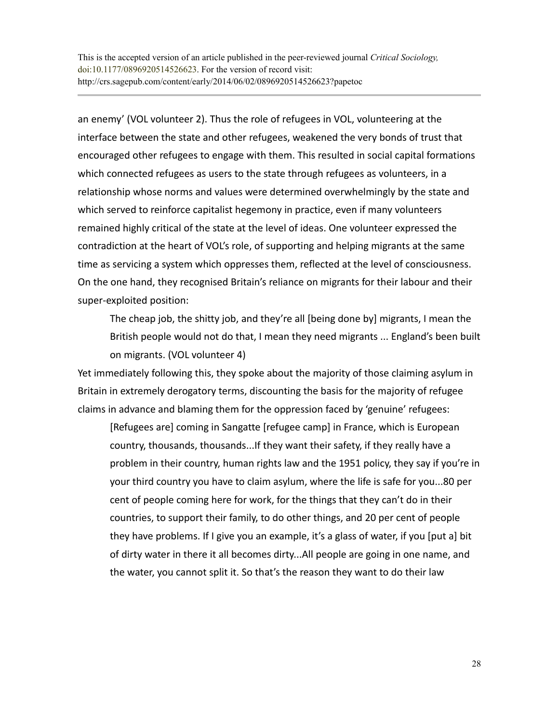an enemy' (VOL volunteer 2). Thus the role of refugees in VOL, volunteering at the interface between the state and other refugees, weakened the very bonds of trust that encouraged other refugees to engage with them. This resulted in social capital formations which connected refugees as users to the state through refugees as volunteers, in a relationship whose norms and values were determined overwhelmingly by the state and which served to reinforce capitalist hegemony in practice, even if many volunteers remained highly critical of the state at the level of ideas. One volunteer expressed the contradiction at the heart of VOL's role, of supporting and helping migrants at the same time as servicing a system which oppresses them, reflected at the level of consciousness. On the one hand, they recognised Britain's reliance on migrants for their labour and their super-exploited position:

The cheap job, the shitty job, and they're all [being done by] migrants, I mean the British people would not do that, I mean they need migrants ... England's been built on migrants. (VOL volunteer 4)

Yet immediately following this, they spoke about the majority of those claiming asylum in Britain in extremely derogatory terms, discounting the basis for the majority of refugee claims in advance and blaming them for the oppression faced by 'genuine' refugees:

[Refugees are] coming in Sangatte [refugee camp] in France, which is European country, thousands, thousands...If they want their safety, if they really have a problem in their country, human rights law and the 1951 policy, they say if you're in your third country you have to claim asylum, where the life is safe for you...80 per cent of people coming here for work, for the things that they can't do in their countries, to support their family, to do other things, and 20 per cent of people they have problems. If I give you an example, it's a glass of water, if you [put a] bit of dirty water in there it all becomes dirty...All people are going in one name, and the water, you cannot split it. So that's the reason they want to do their law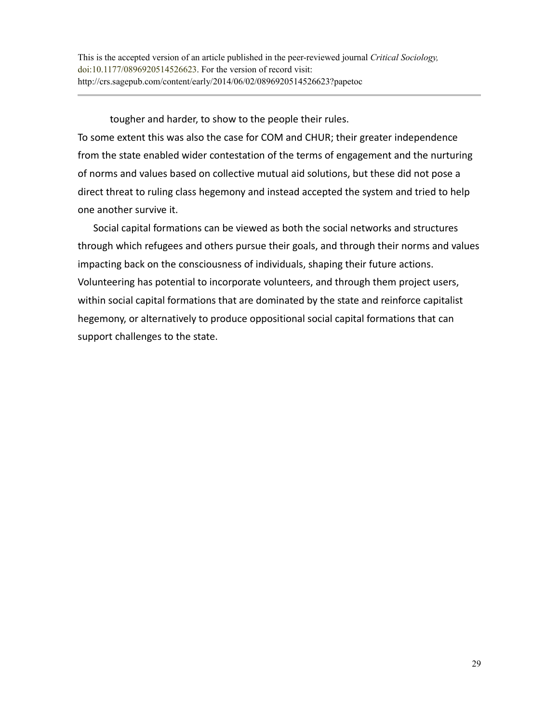tougher and harder, to show to the people their rules.

To some extent this was also the case for COM and CHUR; their greater independence from the state enabled wider contestation of the terms of engagement and the nurturing of norms and values based on collective mutual aid solutions, but these did not pose a direct threat to ruling class hegemony and instead accepted the system and tried to help one another survive it.

Social capital formations can be viewed as both the social networks and structures through which refugees and others pursue their goals, and through their norms and values impacting back on the consciousness of individuals, shaping their future actions. Volunteering has potential to incorporate volunteers, and through them project users, within social capital formations that are dominated by the state and reinforce capitalist hegemony, or alternatively to produce oppositional social capital formations that can support challenges to the state.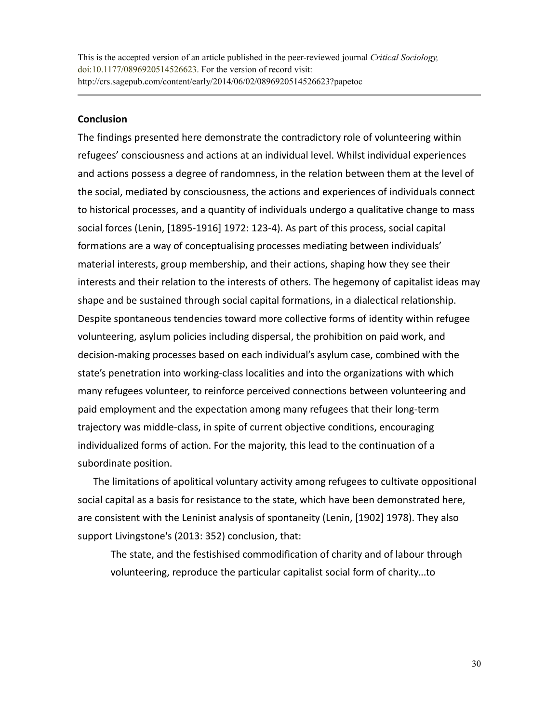This is the accepted version of an article published in the peer-reviewed journal *Critical Sociology,*  doi:10.1177/0896920514526623. For the version of record visit: http://crs.sagepub.com/content/early/2014/06/02/0896920514526623?papetoc

#### **Conclusion**

The findings presented here demonstrate the contradictory role of volunteering within refugees' consciousness and actions at an individual level. Whilst individual experiences and actions possess a degree of randomness, in the relation between them at the level of the social, mediated by consciousness, the actions and experiences of individuals connect to historical processes, and a quantity of individuals undergo a qualitative change to mass social forces (Lenin, [1895-1916] 1972: 123-4). As part of this process, social capital formations are a way of conceptualising processes mediating between individuals' material interests, group membership, and their actions, shaping how they see their interests and their relation to the interests of others. The hegemony of capitalist ideas may shape and be sustained through social capital formations, in a dialectical relationship. Despite spontaneous tendencies toward more collective forms of identity within refugee volunteering, asylum policies including dispersal, the prohibition on paid work, and decision-making processes based on each individual's asylum case, combined with the state's penetration into working-class localities and into the organizations with which many refugees volunteer, to reinforce perceived connections between volunteering and paid employment and the expectation among many refugees that their long-term trajectory was middle-class, in spite of current objective conditions, encouraging individualized forms of action. For the majority, this lead to the continuation of a subordinate position.

The limitations of apolitical voluntary activity among refugees to cultivate oppositional social capital as a basis for resistance to the state, which have been demonstrated here, are consistent with the Leninist analysis of spontaneity (Lenin, [1902] 1978). They also support Livingstone's (2013: 352) conclusion, that:

The state, and the festishised commodification of charity and of labour through volunteering, reproduce the particular capitalist social form of charity...to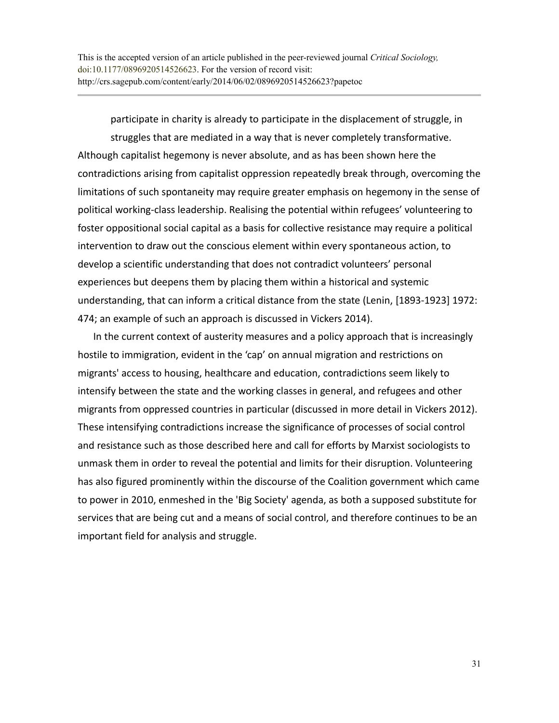participate in charity is already to participate in the displacement of struggle, in struggles that are mediated in a way that is never completely transformative. Although capitalist hegemony is never absolute, and as has been shown here the contradictions arising from capitalist oppression repeatedly break through, overcoming the limitations of such spontaneity may require greater emphasis on hegemony in the sense of political working-class leadership. Realising the potential within refugees' volunteering to foster oppositional social capital as a basis for collective resistance may require a political intervention to draw out the conscious element within every spontaneous action, to develop a scientific understanding that does not contradict volunteers' personal experiences but deepens them by placing them within a historical and systemic understanding, that can inform a critical distance from the state (Lenin, [1893-1923] 1972: 474; an example of such an approach is discussed in Vickers 2014).

In the current context of austerity measures and a policy approach that is increasingly hostile to immigration, evident in the 'cap' on annual migration and restrictions on migrants' access to housing, healthcare and education, contradictions seem likely to intensify between the state and the working classes in general, and refugees and other migrants from oppressed countries in particular (discussed in more detail in Vickers 2012). These intensifying contradictions increase the significance of processes of social control and resistance such as those described here and call for efforts by Marxist sociologists to unmask them in order to reveal the potential and limits for their disruption. Volunteering has also figured prominently within the discourse of the Coalition government which came to power in 2010, enmeshed in the 'Big Society' agenda, as both a supposed substitute for services that are being cut and a means of social control, and therefore continues to be an important field for analysis and struggle.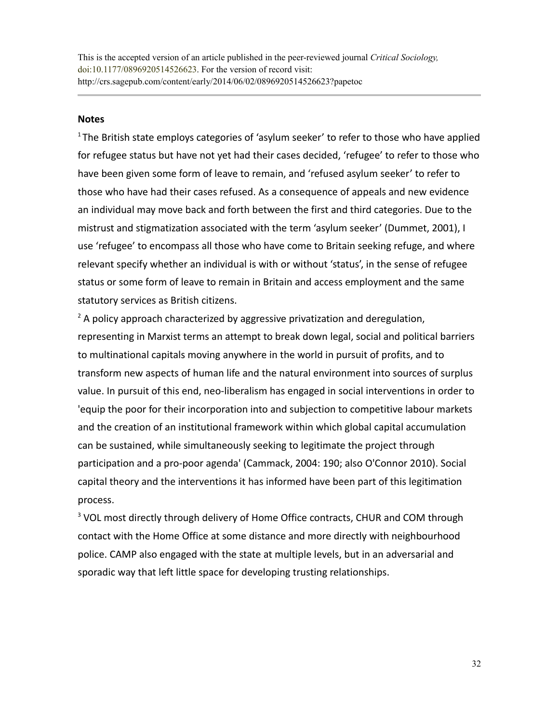This is the accepted version of an article published in the peer-reviewed journal *Critical Sociology,*  doi:10.1177/0896920514526623. For the version of record visit: http://crs.sagepub.com/content/early/2014/06/02/0896920514526623?papetoc

#### **Notes**

<sup>1</sup>The British state employs categories of 'asylum seeker' to refer to those who have applied for refugee status but have not yet had their cases decided, 'refugee' to refer to those who have been given some form of leave to remain, and 'refused asylum seeker' to refer to those who have had their cases refused. As a consequence of appeals and new evidence an individual may move back and forth between the first and third categories. Due to the mistrust and stigmatization associated with the term 'asylum seeker' (Dummet, 2001), I use 'refugee' to encompass all those who have come to Britain seeking refuge, and where relevant specify whether an individual is with or without 'status', in the sense of refugee status or some form of leave to remain in Britain and access employment and the same statutory services as British citizens.

 $2$  A policy approach characterized by aggressive privatization and deregulation, representing in Marxist terms an attempt to break down legal, social and political barriers to multinational capitals moving anywhere in the world in pursuit of profits, and to transform new aspects of human life and the natural environment into sources of surplus value. In pursuit of this end, neo-liberalism has engaged in social interventions in order to 'equip the poor for their incorporation into and subjection to competitive labour markets and the creation of an institutional framework within which global capital accumulation can be sustained, while simultaneously seeking to legitimate the project through participation and a pro-poor agenda' (Cammack, 2004: 190; also O'Connor 2010). Social capital theory and the interventions it has informed have been part of this legitimation process.

<sup>3</sup> VOL most directly through delivery of Home Office contracts, CHUR and COM through contact with the Home Office at some distance and more directly with neighbourhood police. CAMP also engaged with the state at multiple levels, but in an adversarial and sporadic way that left little space for developing trusting relationships.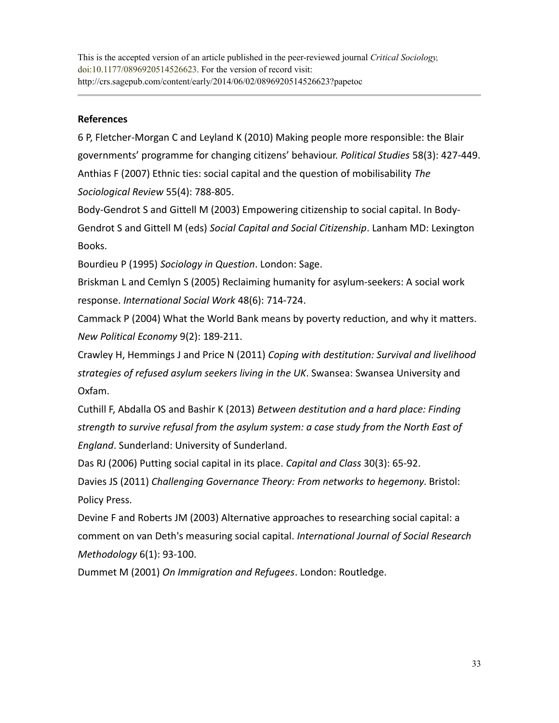This is the accepted version of an article published in the peer-reviewed journal *Critical Sociology,*  doi:10.1177/0896920514526623. For the version of record visit: http://crs.sagepub.com/content/early/2014/06/02/0896920514526623?papetoc

## **References**

6 P, Fletcher-Morgan C and Leyland K (2010) Making people more responsible: the Blair governments' programme for changing citizens' behaviour. *Political Studies* 58(3): 427-449. Anthias F (2007) Ethnic ties: social capital and the question of mobilisability *The Sociological Review* 55(4): 788-805.

Body-Gendrot S and Gittell M (2003) Empowering citizenship to social capital. In Body-Gendrot S and Gittell M (eds) *Social Capital and Social Citizenship*. Lanham MD: Lexington Books.

Bourdieu P (1995) *Sociology in Question*. London: Sage.

Briskman L and Cemlyn S (2005) Reclaiming humanity for asylum-seekers: A social work response. *International Social Work* 48(6): 714-724.

Cammack P (2004) What the World Bank means by poverty reduction, and why it matters. *New Political Economy* 9(2): 189-211.

<span id="page-32-0"></span>Crawley H, Hemmings J and Price N (2011) *Coping with destitution: Survival and livelihood strategies of refused asylum seekers living in the UK*. Swansea: Swansea University and Oxfam.

Cuthill F, Abdalla OS and Bashir K (2013) *Between destitution and a hard place: Finding strength to survive refusal from the asylum system: a case study from the North East of England*. Sunderland: University of Sunderland.

Das RJ (2006) Putting social capital in its place. *Capital and Class* 30(3): 65-92.

Davies JS (2011) *Challenging Governance Theory: From networks to hegemony*. Bristol: Policy Press.

Devine F and Roberts JM (2003) Alternative approaches to researching social capital: a comment on van Deth's measuring social capital. *International Journal of Social Research Methodology* 6(1): 93-100.

Dummet M (2001) *On Immigration and Refugees*. London: Routledge.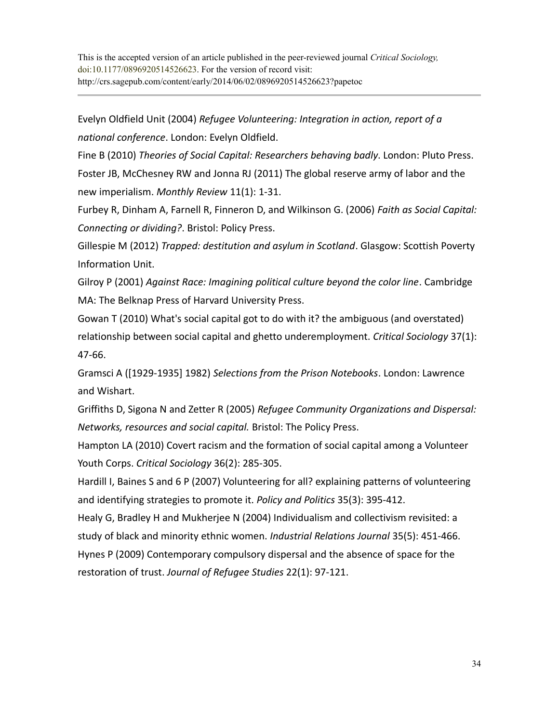Evelyn Oldfield Unit (2004) *Refugee Volunteering: Integration in action, report of a national conference*. London: Evelyn Oldfield.

Fine B (2010) *Theories of Social Capital: Researchers behaving badly*. London: Pluto Press.

Foster JB, McChesney RW and Jonna RJ (2011) The global reserve army of labor and the new imperialism. *Monthly Review* 11(1): 1-31.

Furbey R, Dinham A, Farnell R, Finneron D, and Wilkinson G. (2006) *Faith as Social Capital: Connecting or dividing?*. Bristol: Policy Press.

<span id="page-33-0"></span>Gillespie M (2012) *Trapped: destitution and asylum in Scotland*. Glasgow: Scottish Poverty Information Unit.

Gilroy P (2001) *Against Race: Imagining political culture beyond the color line*. Cambridge MA: The Belknap Press of Harvard University Press.

Gowan T (2010) What's social capital got to do with it? the ambiguous (and overstated) relationship between social capital and ghetto underemployment. *Critical Sociology* 37(1): 47-66.

Gramsci A ([1929-1935] 1982) *Selections from the Prison Notebooks*. London: Lawrence and Wishart.

Griffiths D, Sigona N and Zetter R (2005) *Refugee Community Organizations and Dispersal: Networks, resources and social capital.* Bristol: The Policy Press.

Hampton LA (2010) Covert racism and the formation of social capital among a Volunteer Youth Corps. *Critical Sociology* 36(2): 285-305.

Hardill I, Baines S and 6 P (2007) Volunteering for all? explaining patterns of volunteering and identifying strategies to promote it. *Policy and Politics* 35(3): 395-412.

Healy G, Bradley H and Mukherjee N (2004) Individualism and collectivism revisited: a study of black and minority ethnic women. *Industrial Relations Journal* 35(5): 451-466.

Hynes P (2009) Contemporary compulsory dispersal and the absence of space for the restoration of trust. *Journal of Refugee Studies* 22(1): 97-121.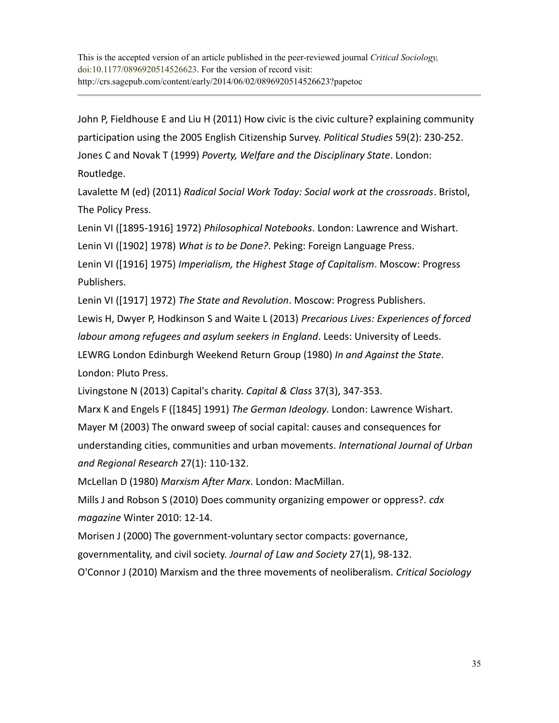This is the accepted version of an article published in the peer-reviewed journal *Critical Sociology,*  doi:10.1177/0896920514526623. For the version of record visit: http://crs.sagepub.com/content/early/2014/06/02/0896920514526623?papetoc

<span id="page-34-2"></span>John P, Fieldhouse E and Liu H (2011) How civic is the civic culture? explaining community participation using the 2005 English Citizenship Survey. *Political Studies* 59(2): 230-252. Jones C and Novak T (1999) *Poverty, Welfare and the Disciplinary State*. London: Routledge.

<span id="page-34-0"></span>Lavalette M (ed) (2011) *Radical Social Work Today: Social work at the crossroads*. Bristol, The Policy Press.

Lenin VI ([1895-1916] 1972) *Philosophical Notebooks*. London: Lawrence and Wishart.

Lenin VI ([1902] 1978) *What is to be Done?*. Peking: Foreign Language Press.

Lenin VI ([1916] 1975) *Imperialism, the Highest Stage of Capitalism*. Moscow: Progress Publishers.

Lenin VI ([1917] 1972) *The State and Revolution*. Moscow: Progress Publishers.

<span id="page-34-3"></span><span id="page-34-1"></span>Lewis H, Dwyer P, Hodkinson S and Waite L (2013) *Precarious Lives: Experiences of forced labour among refugees and asylum seekers in England*. Leeds: University of Leeds. LEWRG London Edinburgh Weekend Return Group (1980) *In and Against the State*. London: Pluto Press.

Livingstone N (2013) Capital's charity. *Capital & Class* 37(3), 347-353.

Marx K and Engels F ([1845] 1991) *The German Ideology*. London: Lawrence Wishart. Mayer M (2003) The onward sweep of social capital: causes and consequences for understanding cities, communities and urban movements. *International Journal of Urban and Regional Research* 27(1): 110-132.

McLellan D (1980) *Marxism After Marx*. London: MacMillan.

Mills J and Robson S (2010) Does community organizing empower or oppress?. *cdx magazine* Winter 2010: 12-14.

Morisen J (2000) The government-voluntary sector compacts: governance,

governmentality, and civil society. *Journal of Law and Society* 27(1), 98-132.

O'Connor J (2010) Marxism and the three movements of neoliberalism. *Critical Sociology*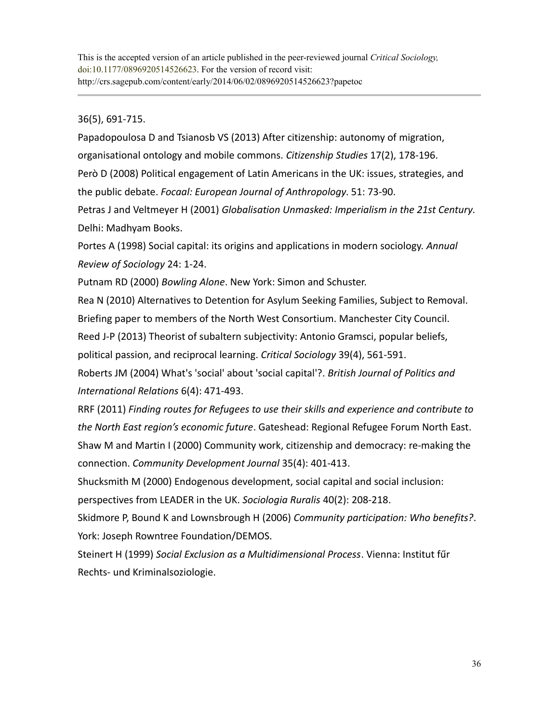# 36(5), 691-715.

<span id="page-35-2"></span><span id="page-35-1"></span>Papadopoulosa D and Tsianosb VS (2013) After citizenship: autonomy of migration, organisational ontology and mobile commons. *Citizenship Studies* 17(2), 178-196. Però D (2008) Political engagement of Latin Americans in the UK: issues, strategies, and the public debate. *Focaal: European Journal of Anthropology*. 51: 73-90. Petras J and Veltmeyer H (2001) *Globalisation Unmasked: Imperialism in the 21st Century*.

Delhi: Madhyam Books.

Portes A (1998) Social capital: its origins and applications in modern sociology. *Annual Review of Sociology* 24: 1-24.

Putnam RD (2000) *Bowling Alone*. New York: Simon and Schuster.

Rea N (2010) Alternatives to Detention for Asylum Seeking Families, Subject to Removal. Briefing paper to members of the North West Consortium. Manchester City Council. Reed J-P (2013) Theorist of subaltern subjectivity: Antonio Gramsci, popular beliefs,

<span id="page-35-0"></span>political passion, and reciprocal learning. *Critical Sociology* 39(4), 561-591.

Roberts JM (2004) What's 'social' about 'social capital'?. *British Journal of Politics and International Relations* 6(4): 471-493.

<span id="page-35-3"></span>RRF (2011) *Finding routes for Refugees to use their skills and experience and contribute to the North East region's economic future*. Gateshead: Regional Refugee Forum North East. Shaw M and Martin I (2000) Community work, citizenship and democracy: re-making the connection. *Community Development Journal* 35(4): 401-413.

Shucksmith M (2000) Endogenous development, social capital and social inclusion: perspectives from LEADER in the UK. *Sociologia Ruralis* 40(2): 208-218.

Skidmore P, Bound K and Lownsbrough H (2006) *Community participation: Who benefits?*. York: Joseph Rowntree Foundation/DEMOS.

Steinert H (1999) *Social Exclusion as a Multidimensional Process*. Vienna: Institut fűr Rechts- und Kriminalsoziologie.